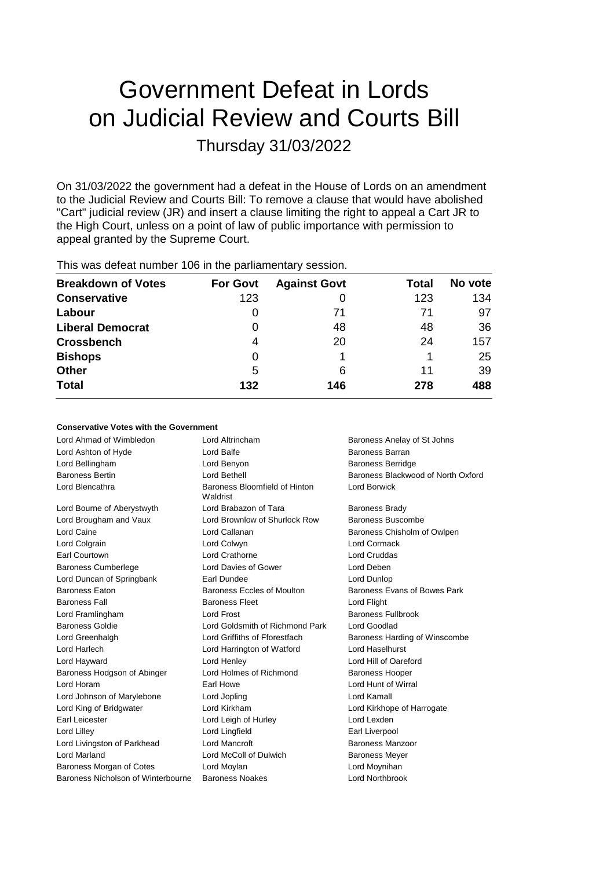# Government Defeat in Lords on Judicial Review and Courts Bill Thursday 31/03/2022

On 31/03/2022 the government had a defeat in the House of Lords on an amendment to the Judicial Review and Courts Bill: To remove a clause that would have abolished "Cart" judicial review (JR) and insert a clause limiting the right to appeal a Cart JR to the High Court, unless on a point of law of public importance with permission to appeal granted by the Supreme Court.

| <b>Breakdown of Votes</b> | <b>For Govt</b> | <b>Against Govt</b> | Total | No vote |
|---------------------------|-----------------|---------------------|-------|---------|
| <b>Conservative</b>       | 123             |                     | 123   | 134     |
| Labour                    | 0               | 71                  | 71    | 97      |
| <b>Liberal Democrat</b>   | 0               | 48                  | 48    | 36      |
| <b>Crossbench</b>         | 4               | 20                  | 24    | 157     |
| <b>Bishops</b>            | 0               |                     |       | 25      |
| <b>Other</b>              | 5               | 6                   | 11    | 39      |
| <b>Total</b>              | 132             | 146                 | 278   | 488     |
|                           |                 |                     |       |         |

This was defeat number 106 in the parliamentary session.

# **Conservative Votes with the Government**

| Lord Ahmad of Wimbledon            | Lord Altrincham                           | Baroness Anelay of St Johns        |
|------------------------------------|-------------------------------------------|------------------------------------|
| Lord Ashton of Hyde                | Lord Balfe                                | Baroness Barran                    |
| Lord Bellingham                    | Lord Benyon                               | <b>Baroness Berridge</b>           |
| <b>Baroness Bertin</b>             | Lord Bethell                              | Baroness Blackwood of North Oxford |
| Lord Blencathra                    | Baroness Bloomfield of Hinton<br>Waldrist | Lord Borwick                       |
| Lord Bourne of Aberystwyth         | Lord Brabazon of Tara                     | <b>Baroness Brady</b>              |
| Lord Brougham and Vaux             | Lord Brownlow of Shurlock Row             | Baroness Buscombe                  |
| Lord Caine                         | Lord Callanan                             | Baroness Chisholm of Owlpen        |
| Lord Colgrain                      | Lord Colwyn                               | Lord Cormack                       |
| Earl Courtown                      | Lord Crathorne                            | <b>Lord Cruddas</b>                |
| <b>Baroness Cumberlege</b>         | Lord Davies of Gower                      | Lord Deben                         |
| Lord Duncan of Springbank          | Earl Dundee                               | Lord Dunlop                        |
| Baroness Eaton                     | Baroness Eccles of Moulton                | Baroness Evans of Bowes Park       |
| <b>Baroness Fall</b>               | <b>Baroness Fleet</b>                     | Lord Flight                        |
| Lord Framlingham                   | Lord Frost                                | <b>Baroness Fullbrook</b>          |
| <b>Baroness Goldie</b>             | Lord Goldsmith of Richmond Park           | Lord Goodlad                       |
| Lord Greenhalgh                    | Lord Griffiths of Fforestfach             | Baroness Harding of Winscombe      |
| Lord Harlech                       | Lord Harrington of Watford                | Lord Haselhurst                    |
| Lord Hayward                       | Lord Henley                               | Lord Hill of Oareford              |
| Baroness Hodgson of Abinger        | Lord Holmes of Richmond                   | <b>Baroness Hooper</b>             |
| Lord Horam                         | Earl Howe                                 | Lord Hunt of Wirral                |
| Lord Johnson of Marylebone         | Lord Jopling                              | Lord Kamall                        |
| Lord King of Bridgwater            | Lord Kirkham                              | Lord Kirkhope of Harrogate         |
| Earl Leicester                     | Lord Leigh of Hurley                      | Lord Lexden                        |
| Lord Lilley                        | Lord Lingfield                            | Earl Liverpool                     |
| Lord Livingston of Parkhead        | <b>Lord Mancroft</b>                      | Baroness Manzoor                   |
| <b>Lord Marland</b>                | Lord McColl of Dulwich                    | <b>Baroness Meyer</b>              |
| Baroness Morgan of Cotes           | Lord Moylan                               | Lord Moynihan                      |
| Baroness Nicholson of Winterbourne | <b>Baroness Noakes</b>                    | Lord Northbrook                    |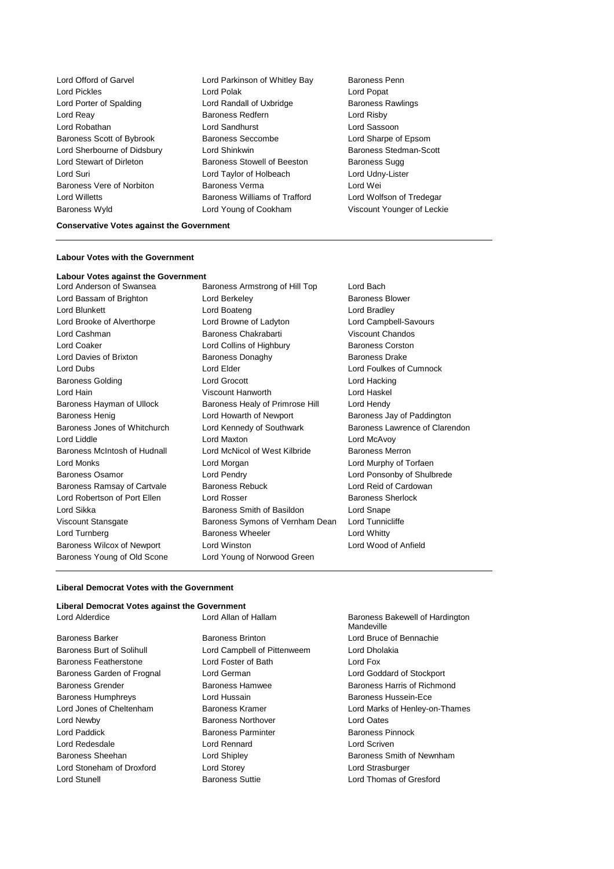Lord Offord of Garvel **Lord Parkinson of Whitley Bay** Baroness Penn Lord Pickles **Lord Polak Lord Polak** Lord Popat Lord Porter of Spalding **Lord Randall of Uxbridge** Baroness Rawlings Lord Reay **Baroness Redfern Baroness Redfern Lord Risby** Lord Robathan Lord Sandhurst Lord Sassoon Baroness Scott of Bybrook Baroness Seccombe Lord Sharpe of Epsom Lord Sherbourne of Didsbury Lord Shinkwin Baroness Stedman-Scott Lord Stewart of Dirleton **Baroness Stowell of Beeston** Baroness Sugg Lord Suri Lord Taylor of Holbeach Lord Udny-Lister Baroness Vere of Norbiton Baroness Verma Lord Wei Lord Willetts Baroness Williams of Trafford Lord Wolfson of Tredegar Baroness Wyld Lord Young of Cookham Viscount Younger of Leckie

### **Conservative Votes against the Government**

### **Labour Votes with the Government**

# **Labour Votes against the Government**

Lord Bassam of Brighton **Lord Berkeley Baroness Blower** Baroness Blower Lord Blunkett **Lord Boateng** Lord Bradley **Lord Bradley** Lord Brooke of Alverthorpe **Lord Browne of Ladyton** Lord Campbell-Savours Lord Cashman Baroness Chakrabarti Viscount Chandos Lord Coaker **Lord Collins of Highbury** Baroness Corston Lord Davies of Brixton **Baroness Donaghy** Baroness Designed Baroness Drake Lord Dubs Lord Elder Lord Foulkes of Cumnock Baroness Golding **Lord Grocott** Lord Hacking **Lord Hacking** Lord Hain Viscount Hanworth Lord Haskel Baroness Hayman of Ullock Baroness Healy of Primrose Hill Lord Hendy Baroness Henig **Exercise Search 20 Howarth of Newport** Baroness Jay of Paddington Baroness Jones of Whitchurch Lord Kennedy of Southwark Baroness Lawrence of Clarendon Lord Liddle Lord Maxton Lord McAvoy Baroness McIntosh of Hudnall Lord McNicol of West Kilbride Baroness Merron Lord Monks Lord Morgan Lord Murphy of Torfaen Baroness Osamor Lord Pendry Lord Ponsonby of Shulbrede Baroness Ramsay of Cartvale Baroness Rebuck Lord Reid of Cardowan Lord Robertson of Port Ellen Lord Rosser **Baroness Sherlock** Baroness Sherlock Lord Sikka Baroness Smith of Basildon Lord Snape Viscount Stansgate Baroness Symons of Vernham Dean Lord Tunnicliffe Lord Turnberg **Baroness Wheeler** Lord Whitty Baroness Wilcox of Newport Lord Winston Lord Wood of Anfield Baroness Young of Old Scone Lord Young of Norwood Green

Baroness Armstrong of Hill Top Lord Bach

#### **Liberal Democrat Votes with the Government**

| Liberal Democrat Votes against the Government |                             |                                               |  |
|-----------------------------------------------|-----------------------------|-----------------------------------------------|--|
| Lord Alderdice                                | Lord Allan of Hallam        | Baroness Bakewell of Hardington<br>Mandeville |  |
| <b>Baroness Barker</b>                        | Baroness Brinton            | Lord Bruce of Bennachie                       |  |
| Baroness Burt of Solihull                     | Lord Campbell of Pittenweem | Lord Dholakia                                 |  |
| Baroness Featherstone                         | Lord Foster of Bath         | Lord Fox                                      |  |
| Baroness Garden of Frognal                    | Lord German                 | Lord Goddard of Stockport                     |  |
| Baroness Grender                              | Baroness Hamwee             | Baroness Harris of Richmond                   |  |
| <b>Baroness Humphreys</b>                     | Lord Hussain                | Baroness Hussein-Ece                          |  |
| Lord Jones of Cheltenham                      | Baroness Kramer             | Lord Marks of Henley-on-Thames                |  |
| Lord Newby                                    | Baroness Northover          | Lord Oates                                    |  |
| Lord Paddick                                  | <b>Baroness Parminter</b>   | Baroness Pinnock                              |  |
| Lord Redesdale                                | Lord Rennard                | Lord Scriven                                  |  |
| Baroness Sheehan                              | Lord Shipley                | Baroness Smith of Newnham                     |  |
| Lord Stoneham of Droxford                     | Lord Storey                 | Lord Strasburger                              |  |
| Lord Stunell                                  | <b>Baroness Suttie</b>      | Lord Thomas of Gresford                       |  |